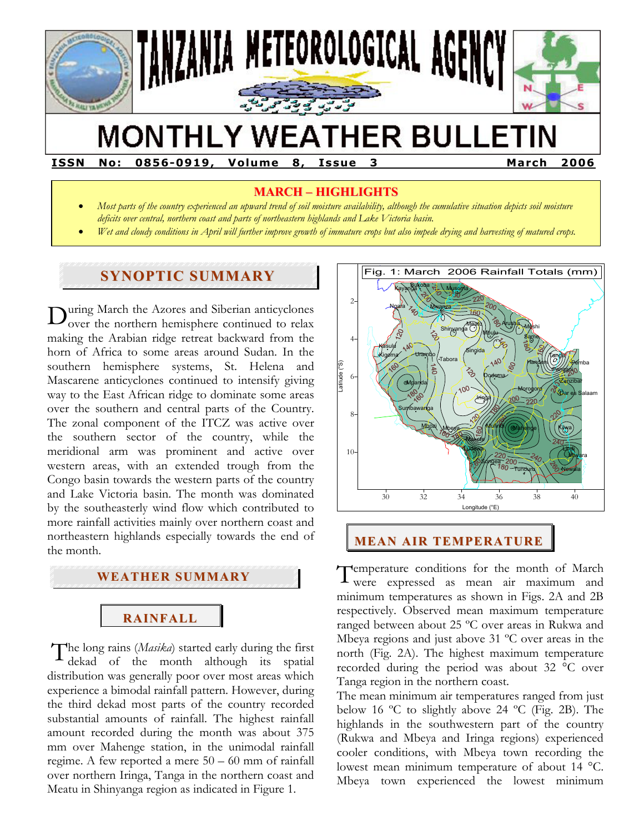

# **MONTHLY WEATHER BULLETIN**

**ISSN No: 0856-0919, Volume 8, Issue 3 March 2006** 

## **MARCH – HIGHLIGHTS**

- *Most parts of the country experienced an upward trend of soil moisture availability, although the cumulative situation depicts soil moisture deficits over central, northern coast and parts of northeastern highlands and Lake Victoria basin.*
- *Wet and cloudy conditions in April will further improve growth of immature crops but also impede drying and harvesting of matured crops.*

## **SYNOPTIC SUMMARY**

uring March the Azores and Siberian anticyclones over the northern hemisphere continued to relax making the Arabian ridge retreat backward from the horn of Africa to some areas around Sudan. In the southern hemisphere systems, St. Helena and Mascarene anticyclones continued to intensify giving way to the East African ridge to dominate some areas over the southern and central parts of the Country. The zonal component of the ITCZ was active over the southern sector of the country, while the meridional arm was prominent and active over western areas, with an extended trough from the Congo basin towards the western parts of the country and Lake Victoria basin. The month was dominated by the southeasterly wind flow which contributed to more rainfall activities mainly over northern coast and northeastern highlands especially towards the end of the month. D

#### **WEATHER SUMMARY**

## **RAINFALL**

The long rains (*Masika*) started early during the first<br>dekad of the month although its spatial dekad of the month although its spatial distribution was generally poor over most areas which experience a bimodal rainfall pattern. However, during the third dekad most parts of the country recorded substantial amounts of rainfall. The highest rainfall amount recorded during the month was about 375 mm over Mahenge station, in the unimodal rainfall regime. A few reported a mere 50 – 60 mm of rainfall over northern Iringa, Tanga in the northern coast and Meatu in Shinyanga region as indicated in Figure 1.



# **MEAN AIR TEMPERATURE**

Temperature conditions for the month of March<br>were expressed as mean air maximum and were expressed as mean air maximum and minimum temperatures as shown in Figs. 2A and 2B respectively. Observed mean maximum temperature ranged between about 25 ºC over areas in Rukwa and Mbeya regions and just above 31 ºC over areas in the north (Fig. 2A). The highest maximum temperature recorded during the period was about 32 °C over Tanga region in the northern coast.

The mean minimum air temperatures ranged from just below 16 ºC to slightly above 24 ºC (Fig. 2B). The highlands in the southwestern part of the country (Rukwa and Mbeya and Iringa regions) experienced cooler conditions, with Mbeya town recording the lowest mean minimum temperature of about 14 °C. Mbeya town experienced the lowest minimum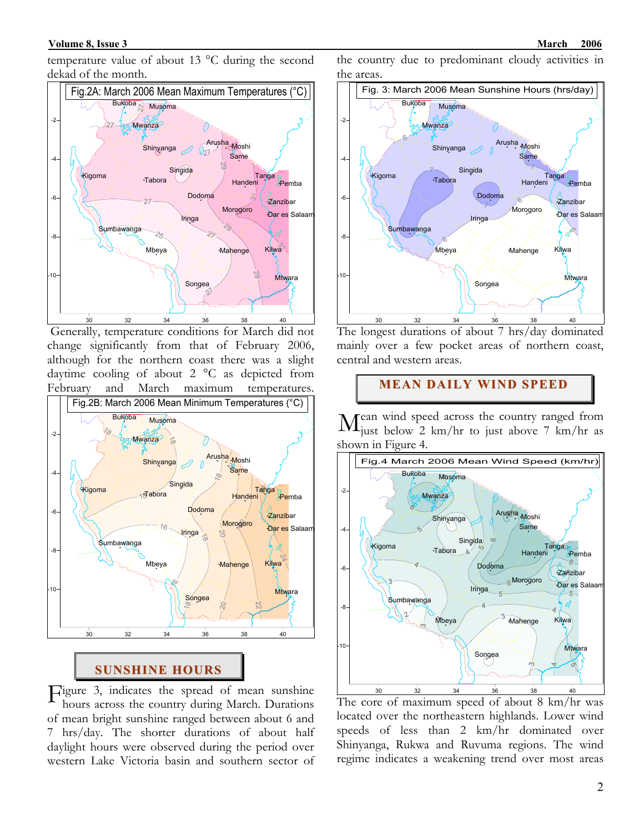temperature value of about 13 °C during the second dekad of the month.



 Generally, temperature conditions for March did not change significantly from that of February 2006, although for the northern coast there was a slight daytime cooling of about 2 °C as depicted from February and March maximum temperatures.



#### **SUNSHINE HOURS**

 $\Gamma$ igure 3, indicates the spread of mean sunshine<br>hours across the country during March. Durations hours across the country during March. Durations of mean bright sunshine ranged between about 6 and 7 hrs/day. The shorter durations of about half daylight hours were observed during the period over western Lake Victoria basin and southern sector of

the country due to predominant cloudy activities in the areas.



The longest durations of about 7 hrs/day dominated mainly over a few pocket areas of northern coast, central and western areas.

**MEAN DAILY WIND SPEED**

ean wind speed across the country ranged from just below 2 km/hr to just above 7 km/hr as shown in Figure 4. M



The core of maximum speed of about 8 km/hr was located over the northeastern highlands. Lower wind speeds of less than 2 km/hr dominated over Shinyanga, Rukwa and Ruvuma regions. The wind regime indicates a weakening trend over most areas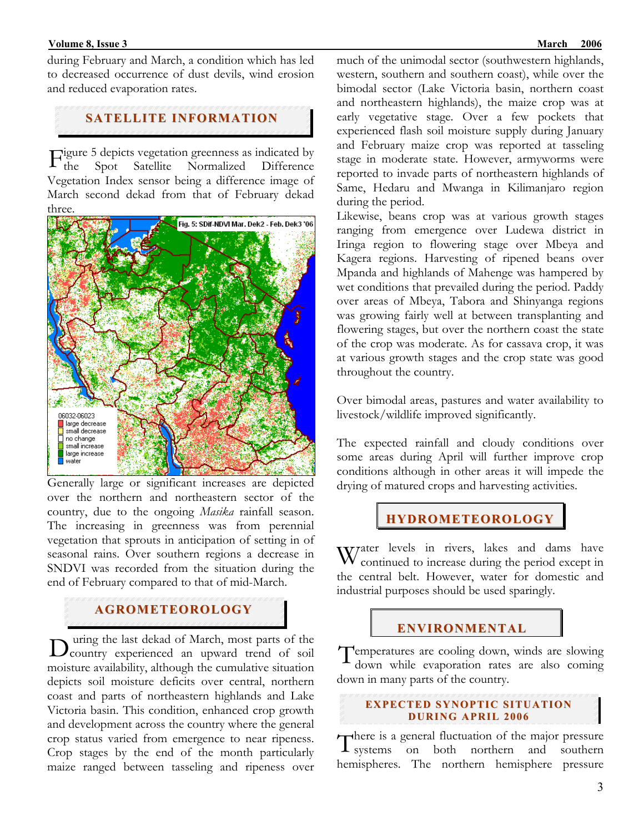#### **Folume 8, Issue 3** March 2006 **March 2006 March 2006**

during February and March, a condition which has led to decreased occurrence of dust devils, wind erosion and reduced evaporation rates.

## **SATELLITE INFORMATION**

Figure 5 depicts vegetation greenness as indicated by<br>the Spot Satellite Normalized Difference the Spot Satellite Normalized Difference Vegetation Index sensor being a difference image of March second dekad from that of February dekad three.



Generally large or significant increases are depicted over the northern and northeastern sector of the country, due to the ongoing *Masika* rainfall season. The increasing in greenness was from perennial vegetation that sprouts in anticipation of setting in of seasonal rains. Over southern regions a decrease in SNDVI was recorded from the situation during the end of February compared to that of mid-March.

#### **AGROMETEOROLOGY**

 uring the last dekad of March, most parts of the D uring the last dekad of March, most parts of the country experienced an upward trend of soil moisture availability, although the cumulative situation depicts soil moisture deficits over central, northern coast and parts of northeastern highlands and Lake Victoria basin. This condition, enhanced crop growth and development across the country where the general crop status varied from emergence to near ripeness. Crop stages by the end of the month particularly maize ranged between tasseling and ripeness over

much of the unimodal sector (southwestern highlands, western, southern and southern coast), while over the bimodal sector (Lake Victoria basin, northern coast and northeastern highlands), the maize crop was at early vegetative stage. Over a few pockets that experienced flash soil moisture supply during January and February maize crop was reported at tasseling stage in moderate state. However, armyworms were reported to invade parts of northeastern highlands of Same, Hedaru and Mwanga in Kilimanjaro region during the period.

Likewise, beans crop was at various growth stages ranging from emergence over Ludewa district in Iringa region to flowering stage over Mbeya and Kagera regions. Harvesting of ripened beans over Mpanda and highlands of Mahenge was hampered by wet conditions that prevailed during the period. Paddy over areas of Mbeya, Tabora and Shinyanga regions was growing fairly well at between transplanting and flowering stages, but over the northern coast the state of the crop was moderate. As for cassava crop, it was at various growth stages and the crop state was good throughout the country.

Over bimodal areas, pastures and water availability to livestock/wildlife improved significantly.

The expected rainfall and cloudy conditions over some areas during April will further improve crop conditions although in other areas it will impede the drying of matured crops and harvesting activities.

## **HYDROMETEOROLOGY**

Water levels in rivers, lakes and dams have<br>Weontinued to increase during the period except in continued to increase during the period except in the central belt. However, water for domestic and industrial purposes should be used sparingly.

## **ENVIRONMENTAL**

Temperatures are cooling down, winds are slowing<br>down while evaporation rates are also coming down while evaporation rates are also coming down in many parts of the country.

#### **EXPECTED SYNOPTIC SITUATION DURI NG APRIL 2006**

There is a general fluctuation of the major pressure<br>
I systems on both northern and southern systems on both northern and southern hemispheres. The northern hemisphere pressure